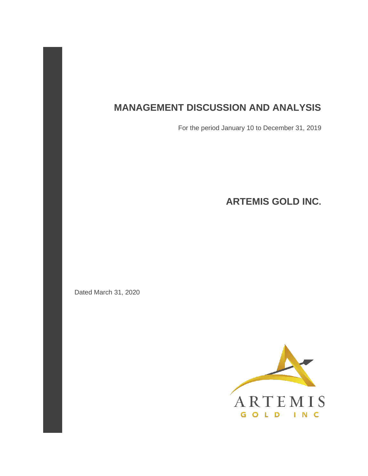# **MANAGEMENT DISCUSSION AND ANALYSIS**

For the period January 10 to December 31, 2019

**ARTEMIS GOLD INC.** 

Dated March 31, 2020

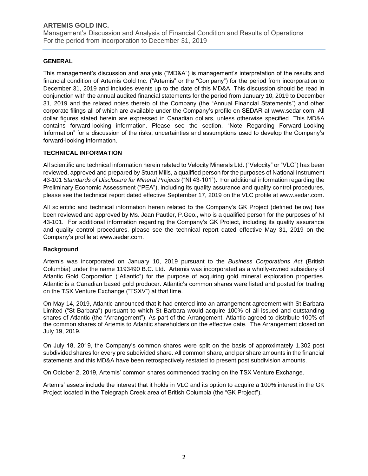Management's Discussion and Analysis of Financial Condition and Results of Operations For the period from incorporation to December 31, 2019

# **GENERAL**

This management's discussion and analysis ("MD&A") is management's interpretation of the results and financial condition of Artemis Gold Inc. ("Artemis" or the "Company") for the period from incorporation to December 31, 2019 and includes events up to the date of this MD&A. This discussion should be read in conjunction with the annual audited financial statements for the period from January 10, 2019 to December 31, 2019 and the related notes thereto of the Company (the "Annual Financial Statements") and other corporate filings all of which are available under the Company's profile on SEDAR at www.sedar.com. All dollar figures stated herein are expressed in Canadian dollars, unless otherwise specified. This MD&A contains forward-looking information. Please see the section, "Note Regarding Forward-Looking Information" for a discussion of the risks, uncertainties and assumptions used to develop the Company's forward-looking information.

### **TECHNICAL INFORMATION**

All scientific and technical information herein related to Velocity Minerals Ltd. ("Velocity" or "VLC") has been reviewed, approved and prepared by Stuart Mills, a qualified person for the purposes of National Instrument 43-101 *Standards of Disclosure for Mineral Projects* ("NI 43-101"). For additional information regarding the Preliminary Economic Assessment ("PEA"), including its quality assurance and quality control procedures, please see the technical report dated effective September 17, 2019 on the VLC profile at www.sedar.com.

All scientific and technical information herein related to the Company's GK Project (defined below) has been reviewed and approved by Ms. Jean Pautler, P.Geo., who is a qualified person for the purposes of NI 43-101. For additional information regarding the Company's GK Project, including its quality assurance and quality control procedures, please see the technical report dated effective May 31, 2019 on the Company's profile at www.sedar.com.

### **Background**

Artemis was incorporated on January 10, 2019 pursuant to the *Business Corporations Act* (British Columbia) under the name 1193490 B.C. Ltd. Artemis was incorporated as a wholly-owned subsidiary of Atlantic Gold Corporation ("Atlantic") for the purpose of acquiring gold mineral exploration properties. Atlantic is a Canadian based gold producer. Atlantic's common shares were listed and posted for trading on the TSX Venture Exchange ("TSXV") at that time.

On May 14, 2019, Atlantic announced that it had entered into an arrangement agreement with St Barbara Limited ("St Barbara") pursuant to which St Barbara would acquire 100% of all issued and outstanding shares of Atlantic (the "Arrangement"). As part of the Arrangement, Atlantic agreed to distribute 100% of the common shares of Artemis to Atlantic shareholders on the effective date. The Arrangement closed on July 19, 2019.

On July 18, 2019, the Company's common shares were split on the basis of approximately 1.302 post subdivided shares for every pre subdivided share. All common share, and per share amounts in the financial statements and this MD&A have been retrospectively restated to present post subdivision amounts.

On October 2, 2019, Artemis' common shares commenced trading on the TSX Venture Exchange.

Artemis' assets include the interest that it holds in VLC and its option to acquire a 100% interest in the GK Project located in the Telegraph Creek area of British Columbia (the "GK Project").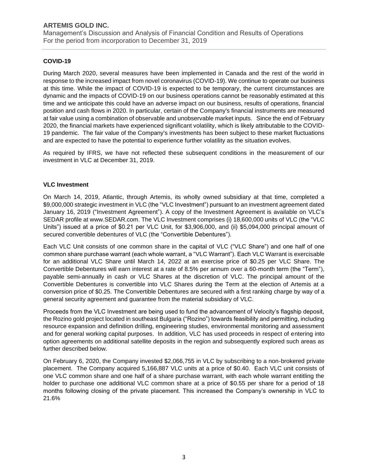Management's Discussion and Analysis of Financial Condition and Results of Operations For the period from incorporation to December 31, 2019

# **COVID-19**

During March 2020, several measures have been implemented in Canada and the rest of the world in response to the increased impact from novel coronavirus (COVID-19). We continue to operate our business at this time. While the impact of COVID-19 is expected to be temporary, the current circumstances are dynamic and the impacts of COVID-19 on our business operations cannot be reasonably estimated at this time and we anticipate this could have an adverse impact on our business, results of operations, financial position and cash flows in 2020. In particular, certain of the Company's financial instruments are measured at fair value using a combination of observable and unobservable market inputs. Since the end of February 2020, the financial markets have experienced significant volatility, which is likely attributable to the COVID-19 pandemic. The fair value of the Company's investments has been subject to these market fluctuations and are expected to have the potential to experience further volatility as the situation evolves.

As required by IFRS, we have not reflected these subsequent conditions in the measurement of our investment in VLC at December 31, 2019.

### **VLC Investment**

On March 14, 2019, Atlantic, through Artemis, its wholly owned subsidiary at that time, completed a \$9,000,000 strategic investment in VLC (the "VLC Investment") pursuant to an investment agreement dated January 16, 2019 ("Investment Agreement"). A copy of the Investment Agreement is available on VLC's SEDAR profile at www.SEDAR.com. The VLC Investment comprises (i) 18,600,000 units of VLC (the "VLC Units") issued at a price of \$0.21 per VLC Unit, for \$3,906,000, and (ii) \$5,094,000 principal amount of secured convertible debentures of VLC (the "Convertible Debentures").

Each VLC Unit consists of one common share in the capital of VLC ("VLC Share") and one half of one common share purchase warrant (each whole warrant, a "VLC Warrant"). Each VLC Warrant is exercisable for an additional VLC Share until March 14, 2022 at an exercise price of \$0.25 per VLC Share. The Convertible Debentures will earn interest at a rate of 8.5% per annum over a 60‐month term (the "Term"), payable semi-annually in cash or VLC Shares at the discretion of VLC. The principal amount of the Convertible Debentures is convertible into VLC Shares during the Term at the election of Artemis at a conversion price of \$0.25. The Convertible Debentures are secured with a first ranking charge by way of a general security agreement and guarantee from the material subsidiary of VLC.

Proceeds from the VLC Investment are being used to fund the advancement of Velocity's flagship deposit, the Rozino gold project located in southeast Bulgaria ("Rozino") towards feasibility and permitting, including resource expansion and definition drilling, engineering studies, environmental monitoring and assessment and for general working capital purposes. In addition, VLC has used proceeds in respect of entering into option agreements on additional satellite deposits in the region and subsequently explored such areas as further described below.

On February 6, 2020, the Company invested \$2,066,755 in VLC by subscribing to a non-brokered private placement. The Company acquired 5,166,887 VLC units at a price of \$0.40. Each VLC unit consists of one VLC common share and one half of a share purchase warrant, with each whole warrant entitling the holder to purchase one additional VLC common share at a price of \$0.55 per share for a period of 18 months following closing of the private placement. This increased the Company's ownership in VLC to 21.6%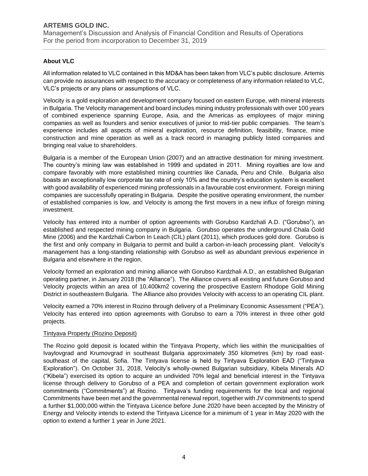Management's Discussion and Analysis of Financial Condition and Results of Operations For the period from incorporation to December 31, 2019

# **About VLC**

All information related to VLC contained in this MD&A has been taken from VLC's public disclosure. Artemis can provide no assurances with respect to the accuracy or completeness of any information related to VLC, VLC's projects or any plans or assumptions of VLC.

Velocity is a gold exploration and development company focused on eastern Europe, with mineral interests in Bulgaria. The Velocity management and board includes mining industry professionals with over 100 years of combined experience spanning Europe, Asia, and the Americas as employees of major mining companies as well as founders and senior executives of junior to mid-tier public companies. The team's experience includes all aspects of mineral exploration, resource definition, feasibility, finance, mine construction and mine operation as well as a track record in managing publicly listed companies and bringing real value to shareholders.

Bulgaria is a member of the European Union (2007) and an attractive destination for mining investment. The country's mining law was established in 1999 and updated in 2011. Mining royalties are low and compare favorably with more established mining countries like Canada, Peru and Chile. Bulgaria also boasts an exceptionally low corporate tax rate of only 10% and the country's education system is excellent with good availability of experienced mining professionals in a favourable cost environment. Foreign mining companies are successfully operating in Bulgaria. Despite the positive operating environment, the number of established companies is low, and Velocity is among the first movers in a new influx of foreign mining investment.

Velocity has entered into a number of option agreements with Gorubso Kardzhali A.D. ("Gorubso"), an established and respected mining company in Bulgaria. Gorubso operates the underground Chala Gold Mine (2006) and the Kardzhali Carbon In Leach (CIL) plant (2011), which produces gold dore. Gorubso is the first and only company in Bulgaria to permit and build a carbon-in-leach processing plant. Velocity's management has a long-standing relationship with Gorubso as well as abundant previous experience in Bulgaria and elsewhere in the region.

Velocity formed an exploration and mining alliance with Gorubso Kardzhali A.D., an established Bulgarian operating partner, in January 2018 (the "Alliance"). The Alliance covers all existing and future Gorubso and Velocity projects within an area of 10,400km2 covering the prospective Eastern Rhodope Gold Mining District in southeastern Bulgaria. The Alliance also provides Velocity with access to an operating CIL plant.

Velocity earned a 70% interest in Rozino through delivery of a Preliminary Economic Assessment ("PEA"). Velocity has entered into option agreements with Gorubso to earn a 70% interest in three other gold projects.

### Tintyava Property (Rozino Deposit)

The Rozino gold deposit is located within the Tintyava Property, which lies within the municipalities of Ivaylovgrad and Krumovgrad in southeast Bulgaria approximately 350 kilometres (km) by road east‐ southeast of the capital, Sofia. The Tintyava license is held by Tintyava Exploration EAD ("Tintyava Exploration"). On October 31, 2018, Velocity's wholly‐owned Bulgarian subsidiary, Kibela Minerals AD ("Kibela") exercised its option to acquire an undivided 70% legal and beneficial interest in the Tintyava license through delivery to Gorubso of a PEA and completion of certain government exploration work commitments ("Commitments") at Rozino. Tintyava's funding requirements for the local and regional Commitments have been met and the governmental renewal report, together with JV commitments to spend a further \$1,000,000 within the Tintyava Licence before June 2020 have been accepted by the Ministry of Energy and Velocity intends to extend the Tintyava Licence for a minimum of 1 year in May 2020 with the option to extend a further 1 year in June 2021.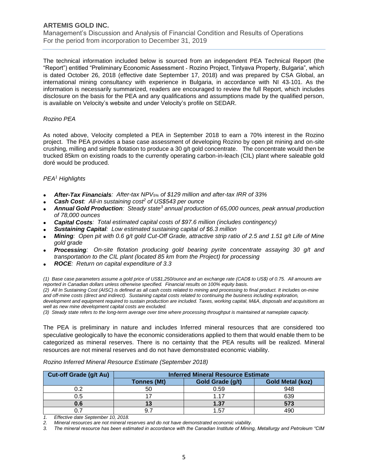Management's Discussion and Analysis of Financial Condition and Results of Operations For the period from incorporation to December 31, 2019

The technical information included below is sourced from an independent PEA Technical Report (the "Report") entitled "Preliminary Economic Assessment ‐ Rozino Project, Tintyava Property, Bulgaria", which is dated October 26, 2018 (effective date September 17, 2018) and was prepared by CSA Global, an international mining consultancy with experience in Bulgaria, in accordance with NI 43‐101. As the information is necessarily summarized, readers are encouraged to review the full Report, which includes disclosure on the basis for the PEA and any qualifications and assumptions made by the qualified person, is available on Velocity's website and under Velocity's profile on SEDAR.

#### *Rozino PEA*

As noted above, Velocity completed a PEA in September 2018 to earn a 70% interest in the Rozino project. The PEA provides a base case assessment of developing Rozino by open pit mining and on-site crushing, milling and simple flotation to produce a 30 g/t gold concentrate. The concentrate would then be trucked 85km on existing roads to the currently operating carbon-in-leach (CIL) plant where saleable gold doré would be produced.

#### *PEA<sup>1</sup> Highlights*

- *After-Tax Financials: After-tax NPV5% of \$129 million and after-tax IRR of 33%*
- *Cash Cost: All-in sustaining cost<sup>2</sup> of US\$543 per ounce*
- *Annual Gold Production: Steady state<sup>3</sup> annual production of 65,000 ounces, peak annual production of 78,000 ounces*
- *Capital Costs: Total estimated capital costs of \$97.6 million (includes contingency)*
- *Sustaining Capital: Low estimated sustaining capital of \$6.3 million*
- *Mining: Open pit with 0.6 g/t gold Cut-Off Grade, attractive strip ratio of 2.5 and 1.51 g/t Life of Mine gold grade*
- *Processing: On-site flotation producing gold bearing pyrite concentrate assaying 30 g/t and transportation to the CIL plant (located 85 km from the Project) for processing*
- *ROCE: Return on capital expenditure of 3.3*

*(1) Base case parameters assume a gold price of US\$1,250/ounce and an exchange rate (CAD\$ to US\$) of 0.75. All amounts are reported in Canadian dollars unless otherwise specified. Financial results on 100% equity basis.*

*(2) All In Sustaining Cost (AISC) is defined as all cash costs related to mining and processing to final product. It includes on-mine and off-mine costs (direct and indirect). Sustaining capital costs related to continuing the business including exploration, development and equipment required to sustain production are included. Taxes, working capital, M&A, disposals and acquisitions as well as new mine development capital costs are excluded.*

*(3) Steady state refers to the long-term average over time where processing throughput is maintained at nameplate capacity.*

The PEA is preliminary in nature and includes Inferred mineral resources that are considered too speculative geologically to have the economic considerations applied to them that would enable them to be categorized as mineral reserves. There is no certainty that the PEA results will be realized. Mineral resources are not mineral reserves and do not have demonstrated economic viability.

| <b>Cut-off Grade (g/t Au)</b> | <b>Inferred Mineral Resource Estimate</b> |                  |                         |  |  |
|-------------------------------|-------------------------------------------|------------------|-------------------------|--|--|
|                               | <b>Tonnes (Mt)</b>                        | Gold Grade (g/t) | <b>Gold Metal (koz)</b> |  |  |
|                               | 50                                        | 0.59             | 948                     |  |  |
|                               |                                           | 1.17             | 639                     |  |  |
| 0.6                           |                                           | 1.37             | 573                     |  |  |
|                               |                                           | 1.57             | 490                     |  |  |

*Rozino Inferred Mineral Resource Estimate (September 2018)*

*1. Effective date September 10, 2018.*

*3. The mineral resource has been estimated in accordance with the Canadian Institute of Mining, Metallurgy and Petroleum "CIM* 

*<sup>2.</sup> Mineral resources are not mineral reserves and do not have demonstrated economic viability.*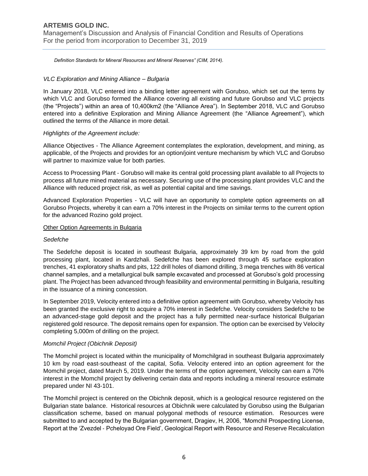Management's Discussion and Analysis of Financial Condition and Results of Operations For the period from incorporation to December 31, 2019

*Definition Standards for Mineral Resources and Mineral Reserves" (CIM, 2014).*

#### *VLC Exploration and Mining Alliance – Bulgaria*

In January 2018, VLC entered into a binding letter agreement with Gorubso, which set out the terms by which VLC and Gorubso formed the Alliance covering all existing and future Gorubso and VLC projects (the "Projects") within an area of 10,400km2 (the "Alliance Area"). In September 2018, VLC and Gorubso entered into a definitive Exploration and Mining Alliance Agreement (the "Alliance Agreement"), which outlined the terms of the Alliance in more detail.

#### *Highlights of the Agreement include:*

Alliance Objectives - The Alliance Agreement contemplates the exploration, development, and mining, as applicable, of the Projects and provides for an option/joint venture mechanism by which VLC and Gorubso will partner to maximize value for both parties.

Access to Processing Plant ‐ Gorubso will make its central gold processing plant available to all Projects to process all future mined material as necessary. Securing use of the processing plant provides VLC and the Alliance with reduced project risk, as well as potential capital and time savings.

Advanced Exploration Properties ‐ VLC will have an opportunity to complete option agreements on all Gorubso Projects, whereby it can earn a 70% interest in the Projects on similar terms to the current option for the advanced Rozino gold project.

#### **Other Option Agreements in Bulgaria**

#### *Sedefche*

The Sedefche deposit is located in southeast Bulgaria, approximately 39 km by road from the gold processing plant, located in Kardzhali. Sedefche has been explored through 45 surface exploration trenches, 41 exploratory shafts and pits, 122 drill holes of diamond drilling, 3 mega trenches with 86 vertical channel samples, and a metallurgical bulk sample excavated and processed at Gorubso's gold processing plant. The Project has been advanced through feasibility and environmental permitting in Bulgaria, resulting in the issuance of a mining concession.

In September 2019, Velocity entered into a definitive option agreement with Gorubso, whereby Velocity has been granted the exclusive right to acquire a 70% interest in Sedefche. Velocity considers Sedefche to be an advanced-stage gold deposit and the project has a fully permitted near-surface historical Bulgarian registered gold resource. The deposit remains open for expansion. The option can be exercised by Velocity completing 5,000m of drilling on the project.

#### *Momchil Project (Obichnik Deposit)*

The Momchil project is located within the municipality of Momchilgrad in southeast Bulgaria approximately 10 km by road east‐southeast of the capital, Sofia. Velocity entered into an option agreement for the Momchil project, dated March 5, 2019. Under the terms of the option agreement, Velocity can earn a 70% interest in the Momchil project by delivering certain data and reports including a mineral resource estimate prepared under NI 43‐101.

The Momchil project is centered on the Obichnik deposit, which is a geological resource registered on the Bulgarian state balance. Historical resources at Obichnik were calculated by Gorubso using the Bulgarian classification scheme, based on manual polygonal methods of resource estimation. Resources were submitted to and accepted by the Bulgarian government, Dragiev, H, 2006, "Momchil Prospecting License, Report at the 'Zvezdel ‐ Pcheloyad Ore Field', Geological Report with Resource and Reserve Recalculation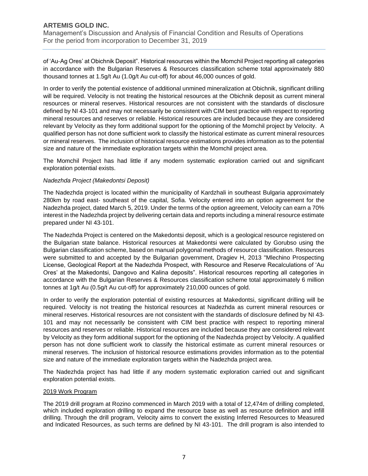Management's Discussion and Analysis of Financial Condition and Results of Operations For the period from incorporation to December 31, 2019

of 'Au‐Ag Ores' at Obichnik Deposit". Historical resources within the Momchil Project reporting all categories in accordance with the Bulgarian Reserves & Resources classification scheme total approximately 880 thousand tonnes at 1.5g/t Au (1.0g/t Au cut‐off) for about 46,000 ounces of gold.

In order to verify the potential existence of additional unmined mineralization at Obichnik, significant drilling will be required. Velocity is not treating the historical resources at the Obichnik deposit as current mineral resources or mineral reserves. Historical resources are not consistent with the standards of disclosure defined by NI 43‐101 and may not necessarily be consistent with CIM best practice with respect to reporting mineral resources and reserves or reliable. Historical resources are included because they are considered relevant by Velocity as they form additional support for the optioning of the Momchil project by Velocity. A qualified person has not done sufficient work to classify the historical estimate as current mineral resources or mineral reserves. The inclusion of historical resource estimations provides information as to the potential size and nature of the immediate exploration targets within the Momchil project area.

The Momchil Project has had little if any modern systematic exploration carried out and significant exploration potential exists.

#### *Nadezhda Project (Makedontsi Deposit)*

The Nadezhda project is located within the municipality of Kardzhali in southeast Bulgaria approximately 280km by road east‐ southeast of the capital, Sofia. Velocity entered into an option agreement for the Nadezhda project, dated March 5, 2019. Under the terms of the option agreement, Velocity can earn a 70% interest in the Nadezhda project by delivering certain data and reports including a mineral resource estimate prepared under NI 43‐101.

The Nadezhda Project is centered on the Makedontsi deposit, which is a geological resource registered on the Bulgarian state balance. Historical resources at Makedontsi were calculated by Gorubso using the Bulgarian classification scheme, based on manual polygonal methods of resource classification. Resources were submitted to and accepted by the Bulgarian government, Dragiev H, 2013 "Mlechino Prospecting License, Geological Report at the Nadezhda Prospect, with Resource and Reserve Recalculations of 'Au Ores' at the Makedontsi, Dangovo and Kalina deposits". Historical resources reporting all categories in accordance with the Bulgarian Reserves & Resources classification scheme total approximately 6 million tonnes at 1g/t Au (0.5g/t Au cut-off) for approximately 210,000 ounces of gold.

In order to verify the exploration potential of existing resources at Makedontsi, significant drilling will be required. Velocity is not treating the historical resources at Nadezhda as current mineral resources or mineral reserves. Historical resources are not consistent with the standards of disclosure defined by NI 43‐ 101 and may not necessarily be consistent with CIM best practice with respect to reporting mineral resources and reserves or reliable. Historical resources are included because they are considered relevant by Velocity as they form additional support for the optioning of the Nadezhda project by Velocity. A qualified person has not done sufficient work to classify the historical estimate as current mineral resources or mineral reserves. The inclusion of historical resource estimations provides information as to the potential size and nature of the immediate exploration targets within the Nadezhda project area.

The Nadezhda project has had little if any modern systematic exploration carried out and significant exploration potential exists.

#### 2019 Work Program

The 2019 drill program at Rozino commenced in March 2019 with a total of 12,474m of drilling completed, which included exploration drilling to expand the resource base as well as resource definition and infill drilling. Through the drill program, Velocity aims to convert the existing Inferred Resources to Measured and Indicated Resources, as such terms are defined by NI 43-101. The drill program is also intended to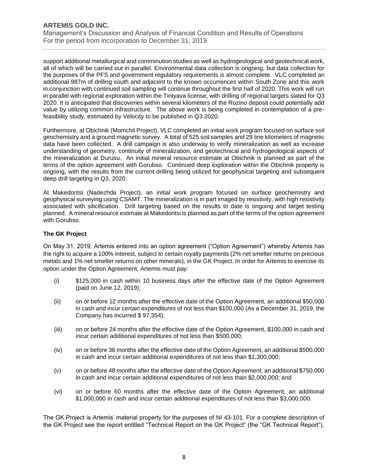Management's Discussion and Analysis of Financial Condition and Results of Operations For the period from incorporation to December 31, 2019

support additional metallurgical and comminution studies as well as hydrogeological and geotechnical work, all of which will be carried out in parallel. Environmental data collection is ongoing, but data collection for the purposes of the PFS and government regulatory requirements is almost complete. VLC completed an additional 987m of drilling south and adjacent to the known occurrences within South Zone and this work in conjunction with continued soil sampling will continue throughout the first half of 2020. This work will run in parallel with regional exploration within the Tintyava license, with drilling of regional targets slated for Q3 2020. It is anticipated that discoveries within several kilometers of the Rozino deposit could potentially add value by utilizing common infrastructure. The above work is being completed in contemplation of a prefeasibility study, estimated by Velocity to be published in Q3 2020.

Furthermore, at Obichnik (Momchil Project), VLC completed an initial work program focused on surface soil geochemistry and a ground magnetic survey. A total of 525 soil samples and 29 line kilometers of magnetic data have been collected. A drill campaign is also underway to verify mineralization as well as increase understanding of geometry, continuity of mineralization, and geotechnical and hydrogeological aspects of the mineralization at Durusu. An initial mineral resource estimate at Obichnik is planned as part of the terms of the option agreement with Gorubso. Continued deep exploration within the Obichnik property is ongoing, with the results from the current drilling being utilized for geophysical targeting and subsequent deep drill targeting in Q3, 2020.

At Makedontsi (Nadezhda Project), an initial work program focused on surface geochemistry and geophysical surveying using CSAMT. The mineralization is in part imaged by resistivity, with high resistivity associated with silicification. Drill targeting based on the results to date is ongoing and target testing planned. A mineral resource estimate at Makedontsi is planned as part of the terms of the option agreement with Gorubso.

### **The GK Project**

On May 31, 2019, Artemis entered into an option agreement ("Option Agreement") whereby Artemis has the right to acquire a 100% interest, subject to certain royalty payments (2% net smelter returns on precious metals and 1% net smelter returns on other minerals), in the GK Project. In order for Artemis to exercise its option under the Option Agreement, Artemis must pay:

- (i) \$125,000 in cash within 10 business days after the effective date of the Option Agreement (paid on June 12, 2019);
- (ii) on or before 12 months after the effective date of the Option Agreement, an additional \$50,000 in cash and incur certain expenditures of not less than \$100,000 (As a December 31, 2019, the Company has incurred \$ 97,354);
- (iii) on or before 24 months after the effective date of the Option Agreement, \$100,000 in cash and incur certain additional expenditures of not less than \$500,000;
- (iv) on or before 36 months after the effective date of the Option Agreement, an additional \$500,000 in cash and incur certain additional expenditures of not less than \$1,300,000;
- (v) on or before 48 months after the effective date of the Option Agreement, an additional \$750,000 in cash and incur certain additional expenditures of not less than \$2,000,000; and
- (vi) on or before 60 months after the effective date of the Option Agreement, an additional \$1,000,000 in cash and incur certain additional expenditures of not less than \$3,000,000.

The GK Project is Artemis' material property for the purposes of NI 43-101. For a complete description of the GK Project see the report entitled "Technical Report on the GK Project" (the "GK Technical Report"),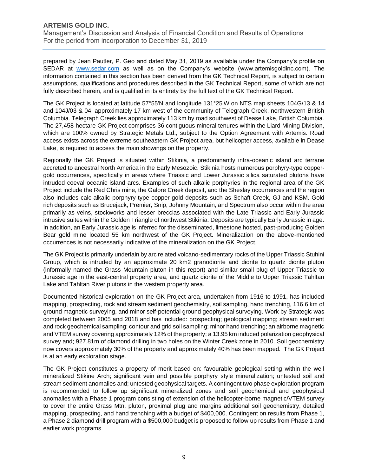Management's Discussion and Analysis of Financial Condition and Results of Operations For the period from incorporation to December 31, 2019

prepared by Jean Pautler, P. Geo and dated May 31, 2019 as available under the Company's profile on SEDAR at [www.sedar.com](http://www.sedar.com/) as well as on the Company's website (www.artemisgoldinc.com). The information contained in this section has been derived from the GK Technical Report, is subject to certain assumptions, qualifications and procedures described in the GK Technical Report, some of which are not fully described herein, and is qualified in its entirety by the full text of the GK Technical Report.

The GK Project is located at latitude 57°55'N and longitude 131°25'W on NTS map sheets 104G/13 & 14 and 104J/03 & 04, approximately 17 km west of the community of Telegraph Creek, northwestern British Columbia. Telegraph Creek lies approximately 113 km by road southwest of Dease Lake, British Columbia. The 27,458-hectare GK Project comprises 36 contiguous mineral tenures within the Liard Mining Division, which are 100% owned by Strategic Metals Ltd., subject to the Option Agreement with Artemis. Road access exists across the extreme southeastern GK Project area, but helicopter access, available in Dease Lake, is required to access the main showings on the property.

Regionally the GK Project is situated within Stikinia, a predominantly intra-oceanic island arc terrane accreted to ancestral North America in the Early Mesozoic. Stikinia hosts numerous porphyry-type coppergold occurrences, specifically in areas where Triassic and Lower Jurassic silica saturated plutons have intruded coeval oceanic island arcs. Examples of such alkalic porphyries in the regional area of the GK Project include the Red Chris mine, the Galore Creek deposit, and the Sheslay occurrences and the region also includes calc-alkalic porphyry-type copper-gold deposits such as Schaft Creek, GJ and KSM. Gold rich deposits such as Brucejack, Premier, Snip, Johnny Mountain, and Spectrum also occur within the area primarily as veins, stockworks and lesser breccias associated with the Late Triassic and Early Jurassic intrusive suites within the Golden Triangle of northwest Stikinia. Deposits are typically Early Jurassic in age. In addition, an Early Jurassic age is inferred for the disseminated, limestone hosted, past-producing Golden Bear gold mine located 55 km northwest of the GK Project. Mineralization on the above-mentioned occurrences is not necessarily indicative of the mineralization on the GK Project.

The GK Project is primarily underlain by arc related volcano-sedimentary rocks of the Upper Triassic Stuhini Group, which is intruded by an approximate 20 km2 granodiorite and diorite to quartz diorite pluton (informally named the Grass Mountain pluton in this report) and similar small plug of Upper Triassic to Jurassic age in the east-central property area, and quartz diorite of the Middle to Upper Triassic Tahltan Lake and Tahltan River plutons in the western property area.

Documented historical exploration on the GK Project area, undertaken from 1916 to 1991, has included mapping, prospecting, rock and stream sediment geochemistry, soil sampling, hand trenching, 116.6 km of ground magnetic surveying, and minor self-potential ground geophysical surveying. Work by Strategic was completed between 2005 and 2018 and has included: prospecting; geological mapping; stream sediment and rock geochemical sampling; contour and grid soil sampling; minor hand trenching; an airborne magnetic and VTEM survey covering approximately 12% of the property; a 13.95 km induced polarization geophysical survey and; 927.81m of diamond drilling in two holes on the Winter Creek zone in 2010. Soil geochemistry now covers approximately 30% of the property and approximately 40% has been mapped. The GK Project is at an early exploration stage.

The GK Project constitutes a property of merit based on: favourable geological setting within the well mineralized Stikine Arch; significant vein and possible porphyry style mineralization; untested soil and stream sediment anomalies and; untested geophysical targets. A contingent two phase exploration program is recommended to follow up significant mineralized zones and soil geochemical and geophysical anomalies with a Phase 1 program consisting of extension of the helicopter-borne magnetic/VTEM survey to cover the entire Grass Mtn. pluton, proximal plug and margins additional soil geochemistry, detailed mapping, prospecting, and hand trenching with a budget of \$400,000. Contingent on results from Phase 1, a Phase 2 diamond drill program with a \$500,000 budget is proposed to follow up results from Phase 1 and earlier work programs.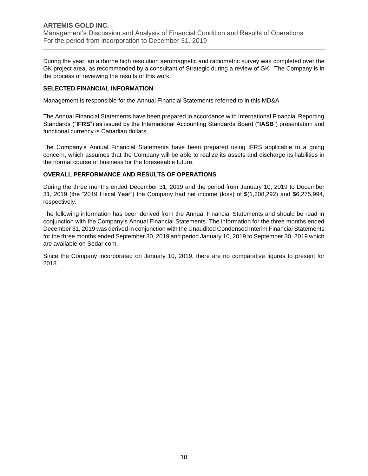### **ARTEMIS GOLD INC.** Management's Discussion and Analysis of Financial Condition and Results of Operations For the period from incorporation to December 31, 2019

During the year, an airborne high resolution aeromagnetic and radiometric survey was completed over the GK project area, as recommended by a consultant of Strategic during a review of GK. The Company is in the process of reviewing the results of this work.

### **SELECTED FINANCIAL INFORMATION**

Management is responsible for the Annual Financial Statements referred to in this MD&A.

The Annual Financial Statements have been prepared in accordance with International Financial Reporting Standards ("**IFRS**") as issued by the International Accounting Standards Board ("**IASB**") presentation and functional currency is Canadian dollars.

The Company's Annual Financial Statements have been prepared using IFRS applicable to a going concern, which assumes that the Company will be able to realize its assets and discharge its liabilities in the normal course of business for the foreseeable future.

### **OVERALL PERFORMANCE AND RESULTS OF OPERATIONS**

During the three months ended December 31, 2019 and the period from January 10, 2019 to December 31, 2019 (the "2019 Fiscal Year") the Company had net income (loss) of \$(1,208,292) and \$6,275,994, respectively.

The following information has been derived from the Annual Financial Statements and should be read in conjunction with the Company's Annual Financial Statements. The information for the three months ended December 31, 2019 was derived in conjunction with the Unaudited Condensed Interim Financial Statements for the three months ended September 30, 2019 and period January 10, 2019 to September 30, 2019 which are available on Sedar.com.

Since the Company incorporated on January 10, 2019, there are no comparative figures to present for 2018.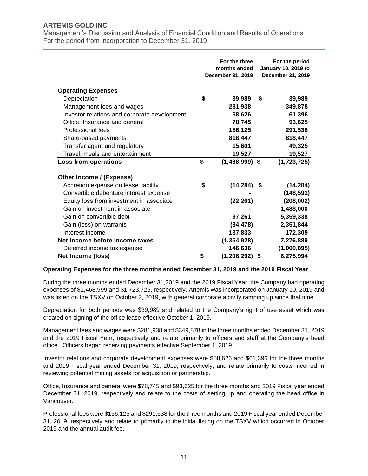Management's Discussion and Analysis of Financial Condition and Results of Operations For the period from incorporation to December 31, 2019

|                                              | For the three<br>months ended<br>December 31, 2019 | For the period<br><b>January 10, 2019 to</b><br>December 31, 2019 |             |  |
|----------------------------------------------|----------------------------------------------------|-------------------------------------------------------------------|-------------|--|
| <b>Operating Expenses</b>                    |                                                    |                                                                   |             |  |
| Depreciation                                 | \$<br>39,989                                       | \$                                                                | 39,989      |  |
| Management fees and wages                    | 281,938                                            |                                                                   | 349,878     |  |
| Investor relations and corporate development | 58,626                                             |                                                                   | 61,396      |  |
| Office, Insurance and general                | 78,745                                             |                                                                   | 93,625      |  |
| Professional fees                            | 156,125                                            |                                                                   | 291,538     |  |
| Share-based payments                         | 818,447                                            |                                                                   | 818,447     |  |
| Transfer agent and regulatory                | 15,601                                             |                                                                   | 49,325      |  |
| Travel, meals and entertainment              | 19,527                                             |                                                                   | 19,527      |  |
| Loss from operations                         | \$<br>$(1,468,999)$ \$                             |                                                                   | (1,723,725) |  |
| Other Income / (Expense)                     |                                                    |                                                                   |             |  |
| Accretion expense on lease liability         | \$<br>(14, 284)                                    | S.                                                                | (14, 284)   |  |
| Convertible debenture interest expense       |                                                    |                                                                   | (148, 591)  |  |
| Equity loss from investment in associate     | (22, 261)                                          |                                                                   | (208, 002)  |  |
| Gain on investment in associate              |                                                    |                                                                   | 1,488,000   |  |
| Gain on convertible debt                     | 97,261                                             |                                                                   | 5,359,338   |  |
| Gain (loss) on warrants                      | (84, 478)                                          |                                                                   | 2,351,844   |  |
| Interest income                              | 137,833                                            |                                                                   | 172,309     |  |
| Net income before income taxes               | (1, 354, 928)                                      |                                                                   | 7,276,889   |  |
| Deferred income tax expense                  | 146,636                                            |                                                                   | (1,000,895) |  |
| Net Income (loss)                            | \$<br>(1, 208, 292)                                | \$                                                                | 6,275,994   |  |

#### **Operating Expenses for the three months ended December 31, 2019 and the 2019 Fiscal Year**

During the three months ended December 31,2019 and the 2019 Fiscal Year, the Company had operating expenses of \$1,468,999 and \$1,723,725, respectively. Artemis was incorporated on January 10, 2019 and was listed on the TSXV on October 2, 2019, with general corporate activity ramping up since that time.

Depreciation for both periods was \$39,989 and related to the Company's right of use asset which was created on signing of the office lease effective October 1, 2019.

Management fees and wages were \$281,938 and \$349,878 in the three months ended December 31, 2019 and the 2019 Fiscal Year, respectively and relate primarily to officers and staff at the Company's head office. Officers began receiving payments effective September 1, 2019.

Investor relations and corporate development expenses were \$58,626 and \$61,396 for the three months and 2019 Fiscal year ended December 31, 2019, respectively, and relate primarily to costs incurred in reviewing potential mining assets for acquisition or partnership.

Office, Insurance and general were \$78,745 and \$93,625 for the three months and 2019 Fiscal year ended December 31, 2019, respectively and relate to the costs of setting up and operating the head office in Vancouver.

Professional fees were \$156,125 and \$291,538 for the three months and 2019 Fiscal year ended December 31, 2019, respectively and relate to primarily to the initial listing on the TSXV which occurred in October 2019 and the annual audit fee.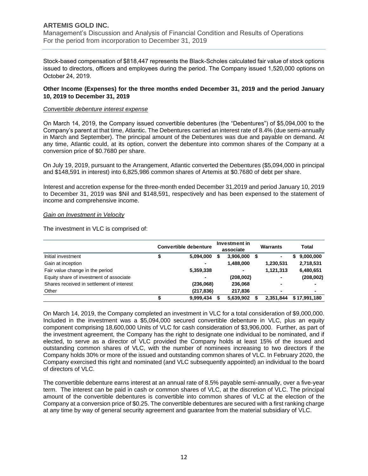Management's Discussion and Analysis of Financial Condition and Results of Operations For the period from incorporation to December 31, 2019

Stock-based compensation of \$818,447 represents the Black-Scholes calculated fair value of stock options issued to directors, officers and employees during the period. The Company issued 1,520,000 options on October 24, 2019.

#### **Other Income (Expenses) for the three months ended December 31, 2019 and the period January 10, 2019 to December 31, 2019**

#### *Convertible debenture interest expense*

On March 14, 2019, the Company issued convertible debentures (the "Debentures") of \$5,094,000 to the Company's parent at that time, Atlantic. The Debentures carried an interest rate of 8.4% (due semi-annually in March and September). The principal amount of the Debentures was due and payable on demand. At any time, Atlantic could, at its option, convert the debenture into common shares of the Company at a conversion price of \$0.7680 per share.

On July 19, 2019, pursuant to the Arrangement, Atlantic converted the Debentures (\$5,094,000 in principal and \$148,591 in interest) into 6,825,986 common shares of Artemis at \$0.7680 of debt per share.

Interest and accretion expense for the three-month ended December 31,2019 and period January 10, 2019 to December 31, 2019 was \$Nil and \$148,591, respectively and has been expensed to the statement of income and comprehensive income.

#### *Gain on Investment in Velocity*

The investment in VLC is comprised of:

|                                           |   | <b>Convertible debenture</b> |   | Investment in<br>associate |   | <b>Warrants</b> |   | Total        |
|-------------------------------------------|---|------------------------------|---|----------------------------|---|-----------------|---|--------------|
| Initial investment                        | S | 5,094,000                    | S | 3,906,000                  | S | ۰               | S | 9,000,000    |
| Gain at inception                         |   |                              |   | 1,488,000                  |   | 1,230,531       |   | 2,718,531    |
| Fair value change in the period           |   | 5,359,338                    |   | ۰                          |   | 1,121,313       |   | 6,480,651    |
| Equity share of investment of associate   |   |                              |   | (208,002)                  |   | -               |   | (208,002)    |
| Shares received in settlement of interest |   | (236,068)                    |   | 236,068                    |   | ۰               |   |              |
| Other                                     |   | (217, 836)                   |   | 217,836                    |   | ۰               |   | ۰            |
|                                           |   | 9,999,434                    |   | 5,639,902                  |   | 2.351.844       |   | \$17.991.180 |

On March 14, 2019, the Company completed an investment in VLC for a total consideration of \$9,000,000. Included in the investment was a \$5,094,000 secured convertible debenture in VLC, plus an equity component comprising 18,600,000 Units of VLC for cash consideration of \$3,906,000. Further, as part of the investment agreement, the Company has the right to designate one individual to be nominated, and if elected, to serve as a director of VLC provided the Company holds at least 15% of the issued and outstanding common shares of VLC, with the number of nominees increasing to two directors if the Company holds 30% or more of the issued and outstanding common shares of VLC. In February 2020, the Company exercised this right and nominated (and VLC subsequently appointed) an individual to the board of directors of VLC.

The convertible debenture earns interest at an annual rate of 8.5% payable semi-annually, over a five-year term. The interest can be paid in cash or common shares of VLC, at the discretion of VLC. The principal amount of the convertible debentures is convertible into common shares of VLC at the election of the Company at a conversion price of \$0.25. The convertible debentures are secured with a first ranking charge at any time by way of general security agreement and guarantee from the material subsidiary of VLC.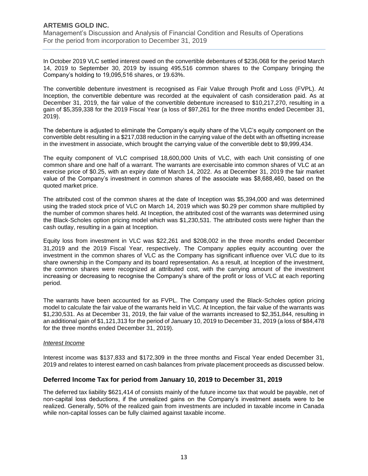Management's Discussion and Analysis of Financial Condition and Results of Operations For the period from incorporation to December 31, 2019

In October 2019 VLC settled interest owed on the convertible debentures of \$236,068 for the period March 14, 2019 to September 30, 2019 by issuing 495,516 common shares to the Company bringing the Company's holding to 19,095,516 shares, or 19.63%.

The convertible debenture investment is recognised as Fair Value through Profit and Loss (FVPL). At Inception, the convertible debenture was recorded at the equivalent of cash consideration paid. As at December 31, 2019, the fair value of the convertible debenture increased to \$10,217,270, resulting in a gain of \$5,359,338 for the 2019 Fiscal Year (a loss of \$97,261 for the three months ended December 31, 2019).

The debenture is adjusted to eliminate the Company's equity share of the VLC's equity component on the convertible debt resulting in a \$217,038 reduction in the carrying value of the debt with an offsetting increase in the investment in associate, which brought the carrying value of the convertible debt to \$9,999,434.

The equity component of VLC comprised 18,600,000 Units of VLC, with each Unit consisting of one common share and one half of a warrant. The warrants are exercisable into common shares of VLC at an exercise price of \$0.25, with an expiry date of March 14, 2022. As at December 31, 2019 the fair market value of the Company's investment in common shares of the associate was \$8,688,460, based on the quoted market price.

The attributed cost of the common shares at the date of Inception was \$5,394,000 and was determined using the traded stock price of VLC on March 14, 2019 which was \$0.29 per common share multiplied by the number of common shares held. At Inception, the attributed cost of the warrants was determined using the Black-Scholes option pricing model which was \$1,230,531. The attributed costs were higher than the cash outlay, resulting in a gain at Inception.

Equity loss from investment in VLC was \$22,261 and \$208,002 in the three months ended December 31,2019 and the 2019 Fiscal Year, respectively. The Company applies equity accounting over the investment in the common shares of VLC as the Company has significant influence over VLC due to its share ownership in the Company and its board representation. As a result, at Inception of the investment, the common shares were recognized at attributed cost, with the carrying amount of the investment increasing or decreasing to recognise the Company's share of the profit or loss of VLC at each reporting period.

The warrants have been accounted for as FVPL. The Company used the Black-Scholes option pricing model to calculate the fair value of the warrants held in VLC. At Inception, the fair value of the warrants was \$1,230,531. As at December 31, 2019, the fair value of the warrants increased to \$2,351,844, resulting in an additional gain of \$1,121,313 for the period of January 10, 2019 to December 31, 2019 (a loss of \$84,478 for the three months ended December 31, 2019).

#### *Interest Income*

Interest income was \$137,833 and \$172,309 in the three months and Fiscal Year ended December 31, 2019 and relates to interest earned on cash balances from private placement proceeds as discussed below.

### **Deferred Income Tax for period from January 10, 2019 to December 31, 2019**

The deferred tax liability \$621,414 of consists mainly of the future income tax that would be payable, net of non-capital loss deductions, if the unrealized gains on the Company's investment assets were to be realized. Generally, 50% of the realized gain from investments are included in taxable income in Canada while non-capital losses can be fully claimed against taxable income.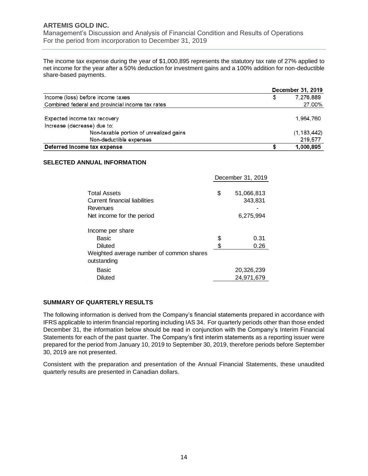Management's Discussion and Analysis of Financial Condition and Results of Operations For the period from incorporation to December 31, 2019

The income tax expense during the year of \$1,000,895 represents the statutory tax rate of 27% applied to net income for the year after a 50% deduction for investment gains and a 100% addition for non-deductible share-based payments.

|                                                  | December 31, 2019 |               |  |  |
|--------------------------------------------------|-------------------|---------------|--|--|
| Income (loss) before income taxes                | \$                | 7.276.889     |  |  |
| Combined federal and provincial income tax rates |                   | 27.00%        |  |  |
| Expected income tax recovery                     |                   | 1.964.760     |  |  |
| Increase (decrease) due to:                      |                   |               |  |  |
| Non-taxable portion of unrealized gains          |                   | (1, 183, 442) |  |  |
| Non-deductible expenses                          |                   | 219,577       |  |  |
| Deferred Income tax expense                      |                   | 1,000,895     |  |  |

#### **SELECTED ANNUAL INFORMATION**

|                                                                                                 | December 31, 2019 |              |  |
|-------------------------------------------------------------------------------------------------|-------------------|--------------|--|
| <b>Total Assets</b>                                                                             | \$                | 51,066,813   |  |
| Current financial liabilities                                                                   |                   | 343,831      |  |
| Revenues                                                                                        |                   |              |  |
| Net income for the period                                                                       |                   | 6,275,994    |  |
| Income per share<br>Basic<br>Diluted<br>Weighted average number of common shares<br>outstanding | \$<br>\$          | 0.31<br>0.26 |  |
| Basic                                                                                           |                   | 20,326,239   |  |
| Diluted                                                                                         |                   | 24,971,679   |  |

#### **SUMMARY OF QUARTERLY RESULTS**

The following information is derived from the Company's financial statements prepared in accordance with IFRS applicable to interim financial reporting including IAS 34. For quarterly periods other than those ended December 31, the information below should be read in conjunction with the Company's Interim Financial Statements for each of the past quarter. The Company's first interim statements as a reporting issuer were prepared for the period from January 10, 2019 to September 30, 2019, therefore periods before September 30, 2019 are not presented.

Consistent with the preparation and presentation of the Annual Financial Statements, these unaudited quarterly results are presented in Canadian dollars.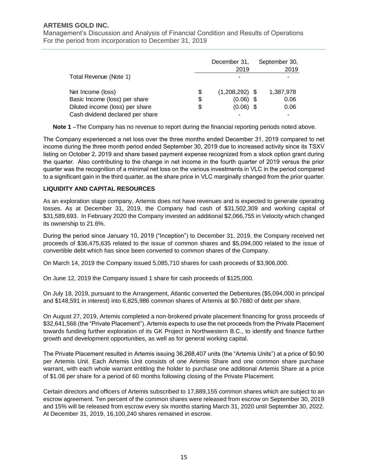Management's Discussion and Analysis of Financial Condition and Results of Operations For the period from incorporation to December 31, 2019

|                                  | December 31,<br>2019   | September 30,<br>2019 |
|----------------------------------|------------------------|-----------------------|
| Total Revenue (Note 1)           |                        |                       |
| Net Income (loss)                | \$<br>$(1,208,292)$ \$ | 1,387,978             |
| Basic Income (loss) per share    | \$<br>$(0.06)$ \$      | 0.06                  |
| Diluted income (loss) per share  | \$<br>$(0.06)$ \$      | 0.06                  |
| Cash dividend declared per share |                        |                       |

**Note 1** –The Company has no revenue to report during the financial reporting periods noted above.

The Company experienced a net loss over the three months ended December 31, 2019 compared to net income during the three month period ended September 30, 2019 due to increased activity since its TSXV listing on October 2, 2019 and share based payment expense recognized from a stock option grant during the quarter. Also contributing to the change in net income in the fourth quarter of 2019 versus the prior quarter was the recognition of a minimal net loss on the various investments in VLC in the period compared to a significant gain in the third quarter, as the share price in VLC marginally changed from the prior quarter.

### **LIQUIDITY AND CAPITAL RESOURCES**

As an exploration stage company, Artemis does not have revenues and is expected to generate operating losses. As at December 31, 2019, the Company had cash of \$31,502,309 and working capital of \$31,589,693. In February 2020 the Company invested an additional \$2,066,755 in Velocity which changed its ownership to 21.6%.

During the period since January 10, 2019 ("Inception") to December 31, 2019, the Company received net proceeds of \$36,475,635 related to the issue of common shares and \$5,094,000 related to the issue of convertible debt which has since been converted to common shares of the Company.

On March 14, 2019 the Company issued 5,085,710 shares for cash proceeds of \$3,906,000.

On June 12, 2019 the Company issued 1 share for cash proceeds of \$125,000.

On July 18, 2019, pursuant to the Arrangement, Atlantic converted the Debentures (\$5,094,000 in principal and \$148,591 in interest) into 6,825,986 common shares of Artemis at \$0.7680 of debt per share.

On August 27, 2019, Artemis completed a non-brokered private placement financing for gross proceeds of \$32,641,566 (the "Private Placement"). Artemis expects to use the net proceeds from the Private Placement towards funding further exploration of its GK Project in Northwestern B.C., to identify and finance further growth and development opportunities, as well as for general working capital.

The Private Placement resulted in Artemis issuing 36,268,407 units (the "Artemis Units") at a price of \$0.90 per Artemis Unit. Each Artemis Unit consists of one Artemis Share and one common share purchase warrant, with each whole warrant entitling the holder to purchase one additional Artemis Share at a price of \$1.08 per share for a period of 60 months following closing of the Private Placement.

Certain directors and officers of Artemis subscribed to 17,889,155 common shares which are subject to an escrow agreement. Ten percent of the common shares were released from escrow on September 30, 2019 and 15% will be released from escrow every six months starting March 31, 2020 until September 30, 2022. At December 31, 2019, 16,100,240 shares remained in escrow.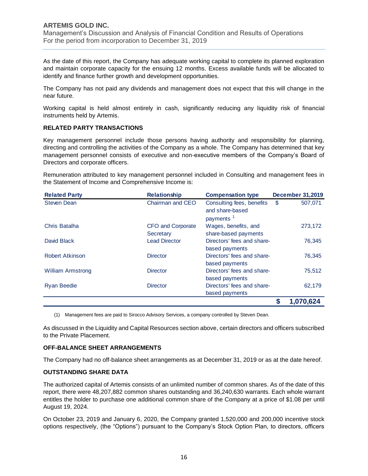Management's Discussion and Analysis of Financial Condition and Results of Operations For the period from incorporation to December 31, 2019

As the date of this report, the Company has adequate working capital to complete its planned exploration and maintain corporate capacity for the ensuing 12 months. Excess available funds will be allocated to identify and finance further growth and development opportunities.

The Company has not paid any dividends and management does not expect that this will change in the near future.

Working capital is held almost entirely in cash, significantly reducing any liquidity risk of financial instruments held by Artemis.

#### **RELATED PARTY TRANSACTIONS**

Key management personnel include those persons having authority and responsibility for planning, directing and controlling the activities of the Company as a whole. The Company has determined that key management personnel consists of executive and non-executive members of the Company's Board of Directors and corporate officers.

Remuneration attributed to key management personnel included in Consulting and management fees in the Statement of Income and Comprehensive Income is:

| <b>Related Party</b>     | <b>Relationship</b>                   | <b>Compensation type</b>                                              | <b>December 31,2019</b> |           |
|--------------------------|---------------------------------------|-----------------------------------------------------------------------|-------------------------|-----------|
| <b>Steven Dean</b>       | Chairman and CEO                      | Consulting fees, benefits<br>and share-based<br>payments <sup>1</sup> | \$                      | 507,071   |
| Chris Batalha            | <b>CFO and Corporate</b><br>Secretary | Wages, benefits, and<br>share-based payments                          |                         | 273,172   |
| David Black              | <b>Lead Director</b>                  | Directors' fees and share-<br>based payments                          |                         | 76,345    |
| Robert Atkinson          | <b>Director</b>                       | Directors' fees and share-<br>based payments                          |                         | 76,345    |
| <b>William Armstrong</b> | <b>Director</b>                       | Directors' fees and share-<br>based payments                          |                         | 75,512    |
| <b>Ryan Beedie</b>       | <b>Director</b>                       | Directors' fees and share-<br>based payments                          |                         | 62,179    |
|                          |                                       |                                                                       | \$                      | 1,070,624 |

(1) Management fees are paid to Sirocco Advisory Services, a company controlled by Steven Dean.

As discussed in the Liquidity and Capital Resources section above, certain directors and officers subscribed to the Private Placement.

#### **OFF-BALANCE SHEET ARRANGEMENTS**

The Company had no off-balance sheet arrangements as at December 31, 2019 or as at the date hereof.

#### **OUTSTANDING SHARE DATA**

The authorized capital of Artemis consists of an unlimited number of common shares. As of the date of this report, there were 48,207,882 common shares outstanding and 36,240,630 warrants. Each whole warrant entitles the holder to purchase one additional common share of the Company at a price of \$1.08 per until August 19, 2024.

On October 23, 2019 and January 6, 2020, the Company granted 1,520,000 and 200,000 incentive stock options respectively, (the "Options") pursuant to the Company's Stock Option Plan, to directors, officers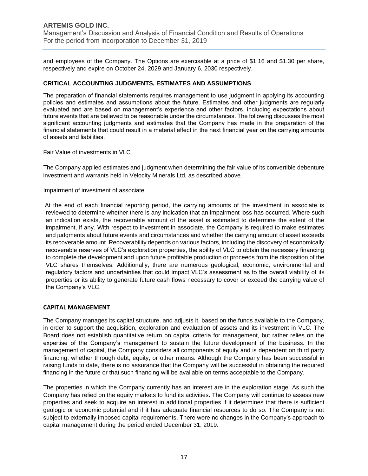Management's Discussion and Analysis of Financial Condition and Results of Operations For the period from incorporation to December 31, 2019

and employees of the Company. The Options are exercisable at a price of \$1.16 and \$1.30 per share, respectively and expire on October 24, 2029 and January 6, 2030 respectively.

#### **CRITICAL ACCOUNTING JUDGMENTS, ESTIMATES AND ASSUMPTIONS**

The preparation of financial statements requires management to use judgment in applying its accounting policies and estimates and assumptions about the future. Estimates and other judgments are regularly evaluated and are based on management's experience and other factors, including expectations about future events that are believed to be reasonable under the circumstances. The following discusses the most significant accounting judgments and estimates that the Company has made in the preparation of the financial statements that could result in a material effect in the next financial year on the carrying amounts of assets and liabilities.

#### Fair Value of investments in VLC

The Company applied estimates and judgment when determining the fair value of its convertible debenture investment and warrants held in Velocity Minerals Ltd, as described above.

#### Impairment of investment of associate

At the end of each financial reporting period, the carrying amounts of the investment in associate is reviewed to determine whether there is any indication that an impairment loss has occurred. Where such an indication exists, the recoverable amount of the asset is estimated to determine the extent of the impairment, if any. With respect to investment in associate, the Company is required to make estimates and judgments about future events and circumstances and whether the carrying amount of asset exceeds its recoverable amount. Recoverability depends on various factors, including the discovery of economically recoverable reserves of VLC's exploration properties, the ability of VLC to obtain the necessary financing to complete the development and upon future profitable production or proceeds from the disposition of the VLC shares themselves. Additionally, there are numerous geological, economic, environmental and regulatory factors and uncertainties that could impact VLC's assessment as to the overall viability of its properties or its ability to generate future cash flows necessary to cover or exceed the carrying value of the Company's VLC.

#### **CAPITAL MANAGEMENT**

The Company manages its capital structure, and adjusts it, based on the funds available to the Company, in order to support the acquisition, exploration and evaluation of assets and its investment in VLC. The Board does not establish quantitative return on capital criteria for management, but rather relies on the expertise of the Company's management to sustain the future development of the business. In the management of capital, the Company considers all components of equity and is dependent on third party financing, whether through debt, equity, or other means. Although the Company has been successful in raising funds to date, there is no assurance that the Company will be successful in obtaining the required financing in the future or that such financing will be available on terms acceptable to the Company.

The properties in which the Company currently has an interest are in the exploration stage. As such the Company has relied on the equity markets to fund its activities. The Company will continue to assess new properties and seek to acquire an interest in additional properties if it determines that there is sufficient geologic or economic potential and if it has adequate financial resources to do so. The Company is not subject to externally imposed capital requirements. There were no changes in the Company's approach to capital management during the period ended December 31, 2019.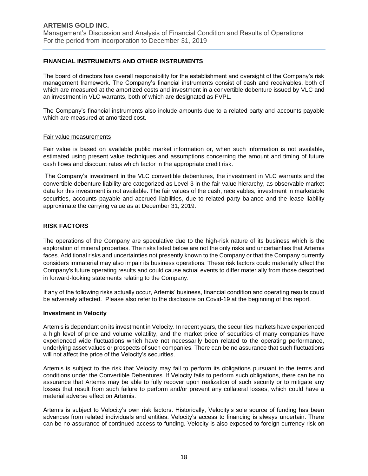### **FINANCIAL INSTRUMENTS AND OTHER INSTRUMENTS**

The board of directors has overall responsibility for the establishment and oversight of the Company's risk management framework. The Company's financial instruments consist of cash and receivables, both of which are measured at the amortized costs and investment in a convertible debenture issued by VLC and an investment in VLC warrants, both of which are designated as FVPL.

The Company's financial instruments also include amounts due to a related party and accounts payable which are measured at amortized cost.

#### Fair value measurements

Fair value is based on available public market information or, when such information is not available, estimated using present value techniques and assumptions concerning the amount and timing of future cash flows and discount rates which factor in the appropriate credit risk.

The Company's investment in the VLC convertible debentures, the investment in VLC warrants and the convertible debenture liability are categorized as Level 3 in the fair value hierarchy, as observable market data for this investment is not available. The fair values of the cash, receivables, investment in marketable securities, accounts payable and accrued liabilities, due to related party balance and the lease liability approximate the carrying value as at December 31, 2019.

### **RISK FACTORS**

The operations of the Company are speculative due to the high-risk nature of its business which is the exploration of mineral properties. The risks listed below are not the only risks and uncertainties that Artemis faces. Additional risks and uncertainties not presently known to the Company or that the Company currently considers immaterial may also impair its business operations. These risk factors could materially affect the Company's future operating results and could cause actual events to differ materially from those described in forward-looking statements relating to the Company.

If any of the following risks actually occur, Artemis' business, financial condition and operating results could be adversely affected. Please also refer to the disclosure on Covid-19 at the beginning of this report.

#### **Investment in Velocity**

Artemis is dependant on its investment in Velocity. In recent years, the securities markets have experienced a high level of price and volume volatility, and the market price of securities of many companies have experienced wide fluctuations which have not necessarily been related to the operating performance, underlying asset values or prospects of such companies. There can be no assurance that such fluctuations will not affect the price of the Velocity's securities.

Artemis is subject to the risk that Velocity may fail to perform its obligations pursuant to the terms and conditions under the Convertible Debentures. If Velocity fails to perform such obligations, there can be no assurance that Artemis may be able to fully recover upon realization of such security or to mitigate any losses that result from such failure to perform and/or prevent any collateral losses, which could have a material adverse effect on Artemis.

Artemis is subject to Velocity's own risk factors. Historically, Velocity's sole source of funding has been advances from related individuals and entities. Velocity's access to financing is always uncertain. There can be no assurance of continued access to funding. Velocity is also exposed to foreign currency risk on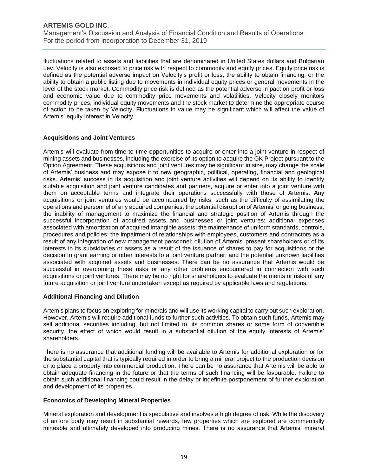Management's Discussion and Analysis of Financial Condition and Results of Operations For the period from incorporation to December 31, 2019

fluctuations related to assets and liabilities that are denominated in United States dollars and Bulgarian Lev. Velocity is also exposed to price risk with respect to commodity and equity prices. Equity price risk is defined as the potential adverse impact on Velocity's profit or loss, the ability to obtain financing, or the ability to obtain a public listing due to movements in individual equity prices or general movements in the level of the stock market. Commodity price risk is defined as the potential adverse impact on profit or loss and economic value due to commodity price movements and volatilities. Velocity closely monitors commodity prices, individual equity movements and the stock market to determine the appropriate course of action to be taken by Velocity. Fluctuations in value may be significant which will affect the value of Artemis' equity interest in Velocity.

#### **Acquisitions and Joint Ventures**

Artemis will evaluate from time to time opportunities to acquire or enter into a joint venture in respect of mining assets and businesses, including the exercise of its option to acquire the GK Project pursuant to the Option Agreement. These acquisitions and joint ventures may be significant in size, may change the scale of Artemis' business and may expose it to new geographic, political, operating, financial and geological risks. Artemis' success in its acquisition and joint venture activities will depend on its ability to identify suitable acquisition and joint venture candidates and partners, acquire or enter into a joint venture with them on acceptable terms and integrate their operations successfully with those of Artemis. Any acquisitions or joint ventures would be accompanied by risks, such as the difficulty of assimilating the operations and personnel of any acquired companies; the potential disruption of Artemis' ongoing business; the inability of management to maximize the financial and strategic position of Artemis through the successful incorporation of acquired assets and businesses or joint ventures; additional expenses associated with amortization of acquired intangible assets; the maintenance of uniform standards, controls, procedures and policies; the impairment of relationships with employees, customers and contractors as a result of any integration of new management personnel; dilution of Artemis' present shareholders or of its interests in its subsidiaries or assets as a result of the issuance of shares to pay for acquisitions or the decision to grant earning or other interests to a joint venture partner; and the potential unknown liabilities associated with acquired assets and businesses. There can be no assurance that Artemis would be successful in overcoming these risks or any other problems encountered in connection with such acquisitions or joint ventures. There may be no right for shareholders to evaluate the merits or risks of any future acquisition or joint venture undertaken except as required by applicable laws and regulations.

#### **Additional Financing and Dilution**

Artemis plans to focus on exploring for minerals and will use its working capital to carry out such exploration. However, Artemis will require additional funds to further such activities. To obtain such funds, Artemis may sell additional securities including, but not limited to, its common shares or some form of convertible security, the effect of which would result in a substantial dilution of the equity interests of Artemis' shareholders.

There is no assurance that additional funding will be available to Artemis for additional exploration or for the substantial capital that is typically required in order to bring a mineral project to the production decision or to place a property into commercial production. There can be no assurance that Artemis will be able to obtain adequate financing in the future or that the terms of such financing will be favourable. Failure to obtain such additional financing could result in the delay or indefinite postponement of further exploration and development of its properties.

#### **Economics of Developing Mineral Properties**

Mineral exploration and development is speculative and involves a high degree of risk. While the discovery of an ore body may result in substantial rewards, few properties which are explored are commercially mineable and ultimately developed into producing mines. There is no assurance that Artemis' mineral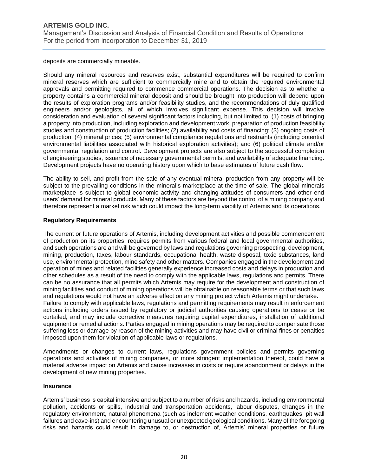deposits are commercially mineable.

Should any mineral resources and reserves exist, substantial expenditures will be required to confirm mineral reserves which are sufficient to commercially mine and to obtain the required environmental approvals and permitting required to commence commercial operations. The decision as to whether a property contains a commercial mineral deposit and should be brought into production will depend upon the results of exploration programs and/or feasibility studies, and the recommendations of duly qualified engineers and/or geologists, all of which involves significant expense. This decision will involve consideration and evaluation of several significant factors including, but not limited to: (1) costs of bringing a property into production, including exploration and development work, preparation of production feasibility studies and construction of production facilities; (2) availability and costs of financing; (3) ongoing costs of production; (4) mineral prices; (5) environmental compliance regulations and restraints (including potential environmental liabilities associated with historical exploration activities); and (6) political climate and/or governmental regulation and control. Development projects are also subject to the successful completion of engineering studies, issuance of necessary governmental permits, and availability of adequate financing. Development projects have no operating history upon which to base estimates of future cash flow.

The ability to sell, and profit from the sale of any eventual mineral production from any property will be subject to the prevailing conditions in the mineral's marketplace at the time of sale. The global minerals marketplace is subject to global economic activity and changing attitudes of consumers and other end users' demand for mineral products. Many of these factors are beyond the control of a mining company and therefore represent a market risk which could impact the long-term viability of Artemis and its operations.

### **Regulatory Requirements**

The current or future operations of Artemis, including development activities and possible commencement of production on its properties, requires permits from various federal and local governmental authorities, and such operations are and will be governed by laws and regulations governing prospecting, development, mining, production, taxes, labour standards, occupational health, waste disposal, toxic substances, land use, environmental protection, mine safety and other matters. Companies engaged in the development and operation of mines and related facilities generally experience increased costs and delays in production and other schedules as a result of the need to comply with the applicable laws, regulations and permits. There can be no assurance that all permits which Artemis may require for the development and construction of mining facilities and conduct of mining operations will be obtainable on reasonable terms or that such laws and regulations would not have an adverse effect on any mining project which Artemis might undertake. Failure to comply with applicable laws, regulations and permitting requirements may result in enforcement actions including orders issued by regulatory or judicial authorities causing operations to cease or be curtailed, and may include corrective measures requiring capital expenditures, installation of additional equipment or remedial actions. Parties engaged in mining operations may be required to compensate those suffering loss or damage by reason of the mining activities and may have civil or criminal fines or penalties imposed upon them for violation of applicable laws or regulations.

Amendments or changes to current laws, regulations government policies and permits governing operations and activities of mining companies, or more stringent implementation thereof, could have a material adverse impact on Artemis and cause increases in costs or require abandonment or delays in the development of new mining properties.

#### **Insurance**

Artemis' business is capital intensive and subject to a number of risks and hazards, including environmental pollution, accidents or spills, industrial and transportation accidents, labour disputes, changes in the regulatory environment, natural phenomena (such as inclement weather conditions, earthquakes, pit wall failures and cave-ins) and encountering unusual or unexpected geological conditions. Many of the foregoing risks and hazards could result in damage to, or destruction of, Artemis' mineral properties or future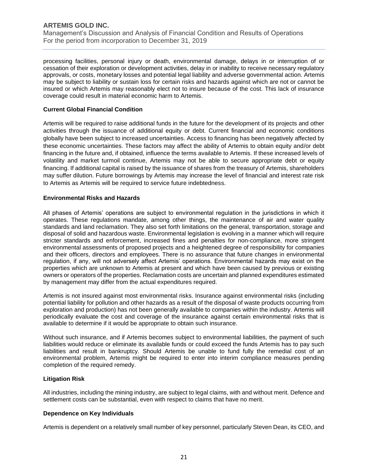Management's Discussion and Analysis of Financial Condition and Results of Operations For the period from incorporation to December 31, 2019

processing facilities, personal injury or death, environmental damage, delays in or interruption of or cessation of their exploration or development activities, delay in or inability to receive necessary regulatory approvals, or costs, monetary losses and potential legal liability and adverse governmental action. Artemis may be subject to liability or sustain loss for certain risks and hazards against which are not or cannot be insured or which Artemis may reasonably elect not to insure because of the cost. This lack of insurance coverage could result in material economic harm to Artemis.

#### **Current Global Financial Condition**

Artemis will be required to raise additional funds in the future for the development of its projects and other activities through the issuance of additional equity or debt. Current financial and economic conditions globally have been subject to increased uncertainties. Access to financing has been negatively affected by these economic uncertainties. These factors may affect the ability of Artemis to obtain equity and/or debt financing in the future and, if obtained, influence the terms available to Artemis. If these increased levels of volatility and market turmoil continue, Artemis may not be able to secure appropriate debt or equity financing. If additional capital is raised by the issuance of shares from the treasury of Artemis, shareholders may suffer dilution. Future borrowings by Artemis may increase the level of financial and interest rate risk to Artemis as Artemis will be required to service future indebtedness.

#### **Environmental Risks and Hazards**

All phases of Artemis' operations are subject to environmental regulation in the jurisdictions in which it operates. These regulations mandate, among other things, the maintenance of air and water quality standards and land reclamation. They also set forth limitations on the general, transportation, storage and disposal of solid and hazardous waste. Environmental legislation is evolving in a manner which will require stricter standards and enforcement, increased fines and penalties for non-compliance, more stringent environmental assessments of proposed projects and a heightened degree of responsibility for companies and their officers, directors and employees. There is no assurance that future changes in environmental regulation, if any, will not adversely affect Artemis' operations. Environmental hazards may exist on the properties which are unknown to Artemis at present and which have been caused by previous or existing owners or operators of the properties. Reclamation costs are uncertain and planned expenditures estimated by management may differ from the actual expenditures required.

Artemis is not insured against most environmental risks. Insurance against environmental risks (including potential liability for pollution and other hazards as a result of the disposal of waste products occurring from exploration and production) has not been generally available to companies within the industry. Artemis will periodically evaluate the cost and coverage of the insurance against certain environmental risks that is available to determine if it would be appropriate to obtain such insurance.

Without such insurance, and if Artemis becomes subject to environmental liabilities, the payment of such liabilities would reduce or eliminate its available funds or could exceed the funds Artemis has to pay such liabilities and result in bankruptcy. Should Artemis be unable to fund fully the remedial cost of an environmental problem, Artemis might be required to enter into interim compliance measures pending completion of the required remedy.

#### **Litigation Risk**

All industries, including the mining industry, are subject to legal claims, with and without merit. Defence and settlement costs can be substantial, even with respect to claims that have no merit.

#### **Dependence on Key Individuals**

Artemis is dependent on a relatively small number of key personnel, particularly Steven Dean, its CEO, and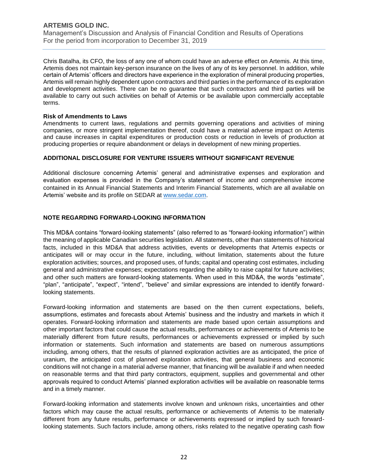Management's Discussion and Analysis of Financial Condition and Results of Operations For the period from incorporation to December 31, 2019

Chris Batalha, its CFO, the loss of any one of whom could have an adverse effect on Artemis. At this time, Artemis does not maintain key-person insurance on the lives of any of its key personnel. In addition, while certain of Artemis' officers and directors have experience in the exploration of mineral producing properties, Artemis will remain highly dependent upon contractors and third parties in the performance of its exploration and development activities. There can be no guarantee that such contractors and third parties will be available to carry out such activities on behalf of Artemis or be available upon commercially acceptable terms.

#### **Risk of Amendments to Laws**

Amendments to current laws, regulations and permits governing operations and activities of mining companies, or more stringent implementation thereof, could have a material adverse impact on Artemis and cause increases in capital expenditures or production costs or reduction in levels of production at producing properties or require abandonment or delays in development of new mining properties.

#### **ADDITIONAL DISCLOSURE FOR VENTURE ISSUERS WITHOUT SIGNIFICANT REVENUE**

Additional disclosure concerning Artemis' general and administrative expenses and exploration and evaluation expenses is provided in the Company's statement of income and comprehensive income contained in its Annual Financial Statements and Interim Financial Statements, which are all available on Artemis' website and its profile on SEDAR at [www.sedar.com.](http://www.sedar.com/)

#### **NOTE REGARDING FORWARD-LOOKING INFORMATION**

This MD&A contains "forward-looking statements" (also referred to as "forward-looking information") within the meaning of applicable Canadian securities legislation. All statements, other than statements of historical facts, included in this MD&A that address activities, events or developments that Artemis expects or anticipates will or may occur in the future, including, without limitation, statements about the future exploration activities; sources, and proposed uses, of funds; capital and operating cost estimates, including general and administrative expenses; expectations regarding the ability to raise capital for future activities; and other such matters are forward-looking statements. When used in this MD&A, the words "estimate", "plan", "anticipate", "expect", "intend", "believe" and similar expressions are intended to identify forwardlooking statements.

Forward-looking information and statements are based on the then current expectations, beliefs, assumptions, estimates and forecasts about Artemis' business and the industry and markets in which it operates. Forward-looking information and statements are made based upon certain assumptions and other important factors that could cause the actual results, performances or achievements of Artemis to be materially different from future results, performances or achievements expressed or implied by such information or statements. Such information and statements are based on numerous assumptions including, among others, that the results of planned exploration activities are as anticipated, the price of uranium, the anticipated cost of planned exploration activities, that general business and economic conditions will not change in a material adverse manner, that financing will be available if and when needed on reasonable terms and that third party contractors, equipment, supplies and governmental and other approvals required to conduct Artemis' planned exploration activities will be available on reasonable terms and in a timely manner.

Forward-looking information and statements involve known and unknown risks, uncertainties and other factors which may cause the actual results, performance or achievements of Artemis to be materially different from any future results, performance or achievements expressed or implied by such forwardlooking statements. Such factors include, among others, risks related to the negative operating cash flow